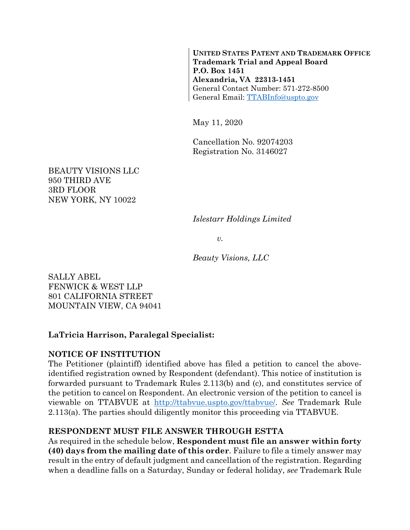**UNITED STATES PATENT AND TRADEMARK OFFICE Trademark Trial and Appeal Board P.O. Box 1451 Alexandria, VA 22313-1451**  General Contact Number: 571-272-8500 General Email: TTABInfo@uspto.gov

May 11, 2020

Cancellation No. 92074203 Registration No. 3146027

BEAUTY VISIONS LLC 950 THIRD AVE 3RD FLOOR NEW YORK, NY 10022

*Islestarr Holdings Limited* 

 $v<sub>r</sub>$ 

*Beauty Visions, LLC* 

SALLY ABEL FENWICK & WEST LLP 801 CALIFORNIA STREET MOUNTAIN VIEW, CA 94041

# **LaTricia Harrison, Paralegal Specialist:**

### **NOTICE OF INSTITUTION**

The Petitioner (plaintiff) identified above has filed a petition to cancel the aboveidentified registration owned by Respondent (defendant). This notice of institution is forwarded pursuant to Trademark Rules 2.113(b) and (c), and constitutes service of the petition to cancel on Respondent. An electronic version of the petition to cancel is viewable on TTABVUE at http://ttabvue.uspto.gov/ttabvue/. *See* Trademark Rule 2.113(a). The parties should diligently monitor this proceeding via TTABVUE.

# **RESPONDENT MUST FILE ANSWER THROUGH ESTTA**

As required in the schedule below, **Respondent must file an answer within forty (40) days from the mailing date of this order**. Failure to file a timely answer may result in the entry of default judgment and cancellation of the registration. Regarding when a deadline falls on a Saturday, Sunday or federal holiday, *see* Trademark Rule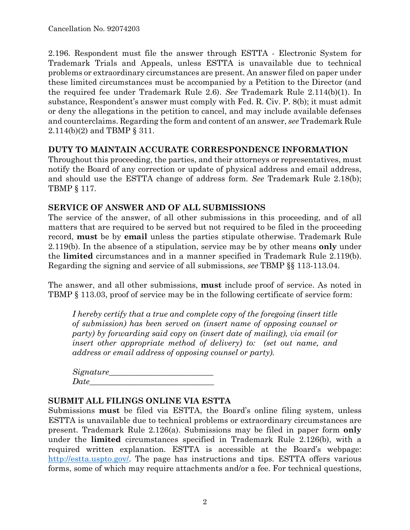2.196. Respondent must file the answer through ESTTA - Electronic System for Trademark Trials and Appeals, unless ESTTA is unavailable due to technical problems or extraordinary circumstances are present. An answer filed on paper under these limited circumstances must be accompanied by a Petition to the Director (and the required fee under Trademark Rule 2.6). *See* Trademark Rule 2.114(b)(1). In substance, Respondent's answer must comply with Fed. R. Civ. P. 8(b); it must admit or deny the allegations in the petition to cancel, and may include available defenses and counterclaims. Regarding the form and content of an answer, *see* Trademark Rule 2.114(b)(2) and TBMP § 311.

#### **DUTY TO MAINTAIN ACCURATE CORRESPONDENCE INFORMATION**

Throughout this proceeding, the parties, and their attorneys or representatives, must notify the Board of any correction or update of physical address and email address, and should use the ESTTA change of address form. *See* Trademark Rule 2.18(b); TBMP § 117.

#### **SERVICE OF ANSWER AND OF ALL SUBMISSIONS**

The service of the answer, of all other submissions in this proceeding, and of all matters that are required to be served but not required to be filed in the proceeding record, **must** be by **email** unless the parties stipulate otherwise. Trademark Rule 2.119(b). In the absence of a stipulation, service may be by other means **only** under the **limited** circumstances and in a manner specified in Trademark Rule 2.119(b). Regarding the signing and service of all submissions, *see* TBMP §§ 113-113.04.

The answer, and all other submissions, **must** include proof of service. As noted in TBMP § 113.03, proof of service may be in the following certificate of service form:

*I hereby certify that a true and complete copy of the foregoing (insert title of submission) has been served on (insert name of opposing counsel or party) by forwarding said copy on (insert date of mailing), via email (or insert other appropriate method of delivery) to: (set out name, and address or email address of opposing counsel or party).* 

| Signature_ |  |  |
|------------|--|--|
| Date       |  |  |

### **SUBMIT ALL FILINGS ONLINE VIA ESTTA**

Submissions **must** be filed via ESTTA, the Board's online filing system, unless ESTTA is unavailable due to technical problems or extraordinary circumstances are present. Trademark Rule 2.126(a). Submissions may be filed in paper form **only** under the **limited** circumstances specified in Trademark Rule 2.126(b), with a required written explanation. ESTTA is accessible at the Board's webpage: http://estta.uspto.gov/. The page has instructions and tips. ESTTA offers various forms, some of which may require attachments and/or a fee. For technical questions,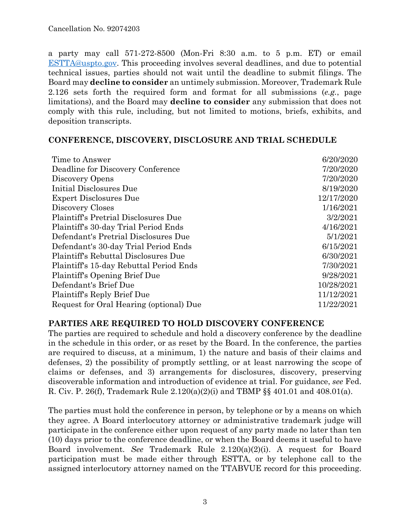a party may call 571-272-8500 (Mon-Fri 8:30 a.m. to 5 p.m. ET) or email ESTTA@uspto.gov. This proceeding involves several deadlines, and due to potential technical issues, parties should not wait until the deadline to submit filings. The Board may **decline to consider** an untimely submission. Moreover, Trademark Rule 2.126 sets forth the required form and format for all submissions (*e.g.*, page limitations), and the Board may **decline to consider** any submission that does not comply with this rule, including, but not limited to motions, briefs, exhibits, and deposition transcripts.

#### **CONFERENCE, DISCOVERY, DISCLOSURE AND TRIAL SCHEDULE**

| Time to Answer                              | 6/20/2020  |
|---------------------------------------------|------------|
| Deadline for Discovery Conference           | 7/20/2020  |
| Discovery Opens                             | 7/20/2020  |
| Initial Disclosures Due                     | 8/19/2020  |
| <b>Expert Disclosures Due</b>               | 12/17/2020 |
| Discovery Closes                            | 1/16/2021  |
| Plaintiff's Pretrial Disclosures Due        | 3/2/2021   |
| Plaintiff's 30-day Trial Period Ends        | 4/16/2021  |
| Defendant's Pretrial Disclosures Due        | 5/1/2021   |
| Defendant's 30-day Trial Period Ends        | 6/15/2021  |
| <b>Plaintiff's Rebuttal Disclosures Due</b> | 6/30/2021  |
| Plaintiff's 15-day Rebuttal Period Ends     | 7/30/2021  |
| Plaintiff's Opening Brief Due               | 9/28/2021  |
| Defendant's Brief Due                       | 10/28/2021 |
| Plaintiff's Reply Brief Due                 | 11/12/2021 |
| Request for Oral Hearing (optional) Due     | 11/22/2021 |

### **PARTIES ARE REQUIRED TO HOLD DISCOVERY CONFERENCE**

The parties are required to schedule and hold a discovery conference by the deadline in the schedule in this order, or as reset by the Board. In the conference, the parties are required to discuss, at a minimum, 1) the nature and basis of their claims and defenses, 2) the possibility of promptly settling, or at least narrowing the scope of claims or defenses, and 3) arrangements for disclosures, discovery, preserving discoverable information and introduction of evidence at trial. For guidance, *see* Fed. R. Civ. P. 26(f), Trademark Rule 2.120(a)(2)(i) and TBMP §§ 401.01 and 408.01(a).

The parties must hold the conference in person, by telephone or by a means on which they agree. A Board interlocutory attorney or administrative trademark judge will participate in the conference either upon request of any party made no later than ten (10) days prior to the conference deadline, or when the Board deems it useful to have Board involvement. *See* Trademark Rule 2.120(a)(2)(i). A request for Board participation must be made either through ESTTA, or by telephone call to the assigned interlocutory attorney named on the TTABVUE record for this proceeding.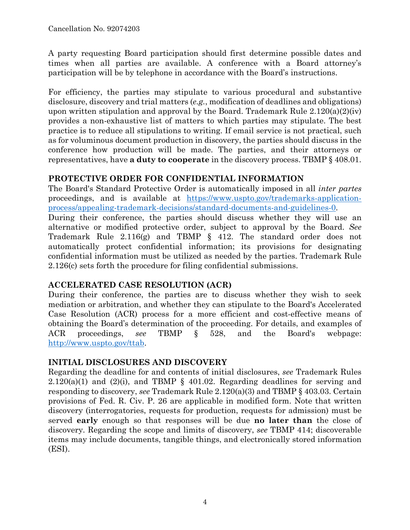A party requesting Board participation should first determine possible dates and times when all parties are available. A conference with a Board attorney's participation will be by telephone in accordance with the Board's instructions.

For efficiency, the parties may stipulate to various procedural and substantive disclosure, discovery and trial matters (*e.g.*, modification of deadlines and obligations) upon written stipulation and approval by the Board. Trademark Rule  $2.120(a)(2)(iv)$ provides a non-exhaustive list of matters to which parties may stipulate. The best practice is to reduce all stipulations to writing. If email service is not practical, such as for voluminous document production in discovery, the parties should discuss in the conference how production will be made. The parties, and their attorneys or representatives, have **a duty to cooperate** in the discovery process. TBMP § 408.01.

## **PROTECTIVE ORDER FOR CONFIDENTIAL INFORMATION**

The Board's Standard Protective Order is automatically imposed in all *inter partes* proceedings, and is available at https://www.uspto.gov/trademarks-applicationprocess/appealing-trademark-decisions/standard-documents-and-guidelines-0. During their conference, the parties should discuss whether they will use an alternative or modified protective order, subject to approval by the Board. *See* Trademark Rule 2.116(g) and TBMP § 412. The standard order does not automatically protect confidential information; its provisions for designating confidential information must be utilized as needed by the parties. Trademark Rule 2.126(c) sets forth the procedure for filing confidential submissions.

# **ACCELERATED CASE RESOLUTION (ACR)**

During their conference, the parties are to discuss whether they wish to seek mediation or arbitration, and whether they can stipulate to the Board's Accelerated Case Resolution (ACR) process for a more efficient and cost-effective means of obtaining the Board's determination of the proceeding. For details, and examples of ACR proceedings, *see* TBMP § 528, and the Board's webpage: http://www.uspto.gov/ttab.

### **INITIAL DISCLOSURES AND DISCOVERY**

Regarding the deadline for and contents of initial disclosures, *see* Trademark Rules  $2.120(a)(1)$  and  $(2)(i)$ , and TBMP § 401.02. Regarding deadlines for serving and responding to discovery, *see* Trademark Rule 2.120(a)(3) and TBMP § 403.03. Certain provisions of Fed. R. Civ. P. 26 are applicable in modified form. Note that written discovery (interrogatories, requests for production, requests for admission) must be served **early** enough so that responses will be due **no later than** the close of discovery. Regarding the scope and limits of discovery, *see* TBMP 414; discoverable items may include documents, tangible things, and electronically stored information (ESI).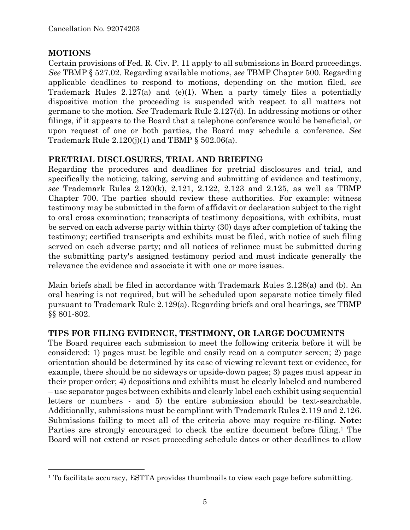#### **MOTIONS**

1

Certain provisions of Fed. R. Civ. P. 11 apply to all submissions in Board proceedings. *See* TBMP § 527.02. Regarding available motions, *see* TBMP Chapter 500. Regarding applicable deadlines to respond to motions, depending on the motion filed, *see* Trademark Rules 2.127(a) and (e)(1). When a party timely files a potentially dispositive motion the proceeding is suspended with respect to all matters not germane to the motion. *See* Trademark Rule 2.127(d). In addressing motions or other filings, if it appears to the Board that a telephone conference would be beneficial, or upon request of one or both parties, the Board may schedule a conference. *See* Trademark Rule  $2.120(j)(1)$  and TBMP § 502.06(a).

### **PRETRIAL DISCLOSURES, TRIAL AND BRIEFING**

Regarding the procedures and deadlines for pretrial disclosures and trial, and specifically the noticing, taking, serving and submitting of evidence and testimony, *see* Trademark Rules 2.120(k), 2.121, 2.122, 2.123 and 2.125, as well as TBMP Chapter 700. The parties should review these authorities. For example: witness testimony may be submitted in the form of affidavit or declaration subject to the right to oral cross examination; transcripts of testimony depositions, with exhibits, must be served on each adverse party within thirty (30) days after completion of taking the testimony; certified transcripts and exhibits must be filed, with notice of such filing served on each adverse party; and all notices of reliance must be submitted during the submitting party's assigned testimony period and must indicate generally the relevance the evidence and associate it with one or more issues.

Main briefs shall be filed in accordance with Trademark Rules 2.128(a) and (b). An oral hearing is not required, but will be scheduled upon separate notice timely filed pursuant to Trademark Rule 2.129(a). Regarding briefs and oral hearings, *see* TBMP §§ 801-802.

### **TIPS FOR FILING EVIDENCE, TESTIMONY, OR LARGE DOCUMENTS**

The Board requires each submission to meet the following criteria before it will be considered: 1) pages must be legible and easily read on a computer screen; 2) page orientation should be determined by its ease of viewing relevant text or evidence, for example, there should be no sideways or upside-down pages; 3) pages must appear in their proper order; 4) depositions and exhibits must be clearly labeled and numbered – use separator pages between exhibits and clearly label each exhibit using sequential letters or numbers - and 5) the entire submission should be text-searchable. Additionally, submissions must be compliant with Trademark Rules 2.119 and 2.126. Submissions failing to meet all of the criteria above may require re-filing. **Note:** Parties are strongly encouraged to check the entire document before filing.<sup>1</sup> The Board will not extend or reset proceeding schedule dates or other deadlines to allow

<sup>&</sup>lt;sup>1</sup> To facilitate accuracy, ESTTA provides thumbnails to view each page before submitting.